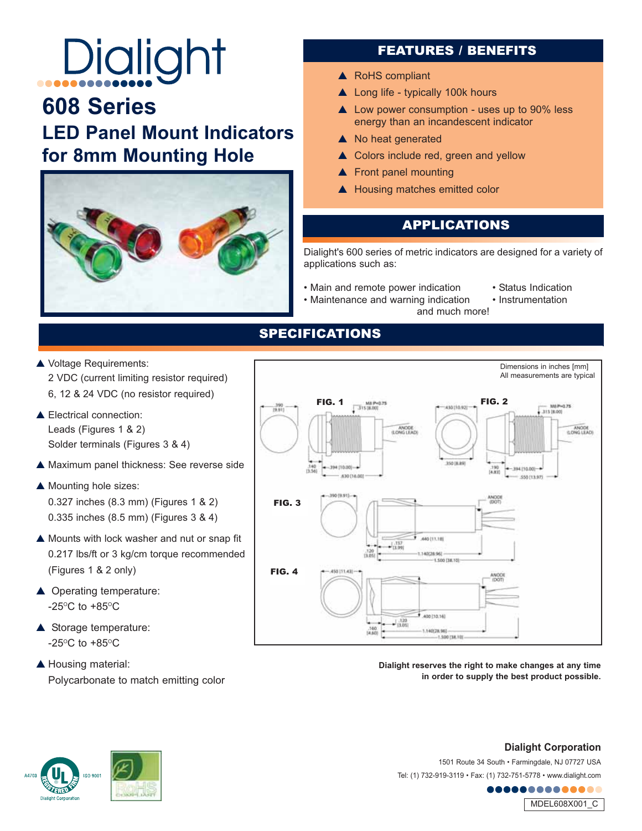# Dialight

# **608 Series LED Panel Mount Indicators for 8mm Mounting Hole**



## FEATURES / BENEFITS

- ▲ RoHS compliant
- ▲ Long life typically 100k hours
- ▲ Low power consumption uses up to 90% less energy than an incandescent indicator
- ▲ No heat generated
- ▲ Colors include red, green and yellow
- ▲ Front panel mounting
- ▲ Housing matches emitted color

## **APPLICATIONS**

Dialight's 600 series of metric indicators are designed for a variety of applications such as:

- Main and remote power indication Status Indication Maintenance and warning indication Instrumentation
	-
- Maintenance and warning indication
- 

Dimensions in inches [mm] All measurements are typical

and much more!

- ▲ Voltage Requirements: 2 VDC (current limiting resistor required) 6, 12 & 24 VDC (no resistor required)
- Electrical connection: Leads (Figures 1 & 2) Solder terminals (Figures 3 & 4)
- Maximum panel thickness: See reverse side
- ▲ Mounting hole sizes: 0.327 inches (8.3 mm) (Figures 1 & 2) 0.335 inches (8.5 mm) (Figures 3 & 4)
- ▲ Mounts with lock washer and nut or snap fit 0.217 lbs/ft or 3 kg/cm torque recommended (Figures 1 & 2 only)
- ▲ Operating temperature: -25 $\mathrm{^{\circ}C}$  to +85 $\mathrm{^{\circ}C}$
- ▲ Storage temperature:  $-25^{\circ}$ C to  $+85^{\circ}$ C
- ▲ Housing material: Polycarbonate to match emitting color



**in order to supply the best product possible.**



**Dialight Corporation** 

1501 Route 34 South • Farmingdale, NJ 07727 USA Tel: (1) 732-919-3119 • Fax: (1) 732-751-5778 • www.dialight.com

........



### SPECIFICATIONS